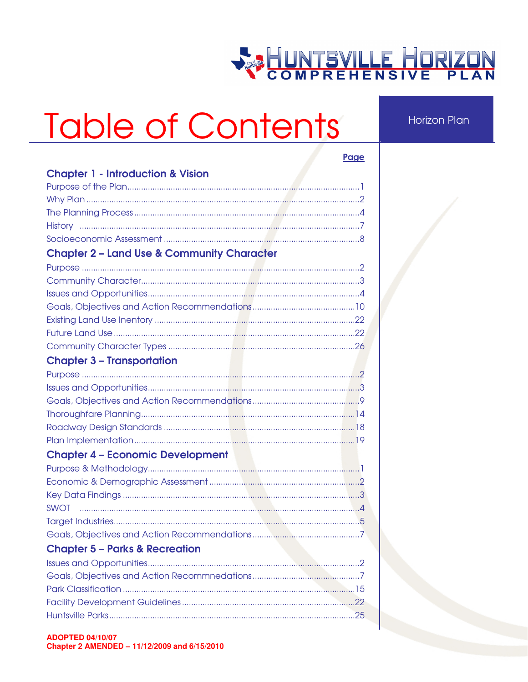## **WE HUNTSVILLE HORIZON**

## Table of Contents

**Horizon Plan** 

|                                                       | Page |
|-------------------------------------------------------|------|
| <b>Chapter 1 - Introduction &amp; Vision</b>          |      |
|                                                       |      |
|                                                       |      |
|                                                       |      |
|                                                       |      |
|                                                       |      |
| <b>Chapter 2 - Land Use &amp; Community Character</b> |      |
|                                                       |      |
|                                                       |      |
|                                                       |      |
|                                                       |      |
|                                                       |      |
|                                                       |      |
|                                                       |      |
| <b>Chapter 3 - Transportation</b>                     |      |
|                                                       |      |
|                                                       |      |
|                                                       |      |
|                                                       |      |
|                                                       |      |
|                                                       |      |
| <b>Chapter 4 - Economic Development</b>               |      |
|                                                       |      |
|                                                       |      |
|                                                       |      |
|                                                       |      |
|                                                       |      |
|                                                       |      |
| <b>Chapter 5 - Parks &amp; Recreation</b>             |      |
|                                                       |      |
|                                                       |      |
|                                                       |      |
|                                                       |      |
|                                                       |      |
|                                                       |      |